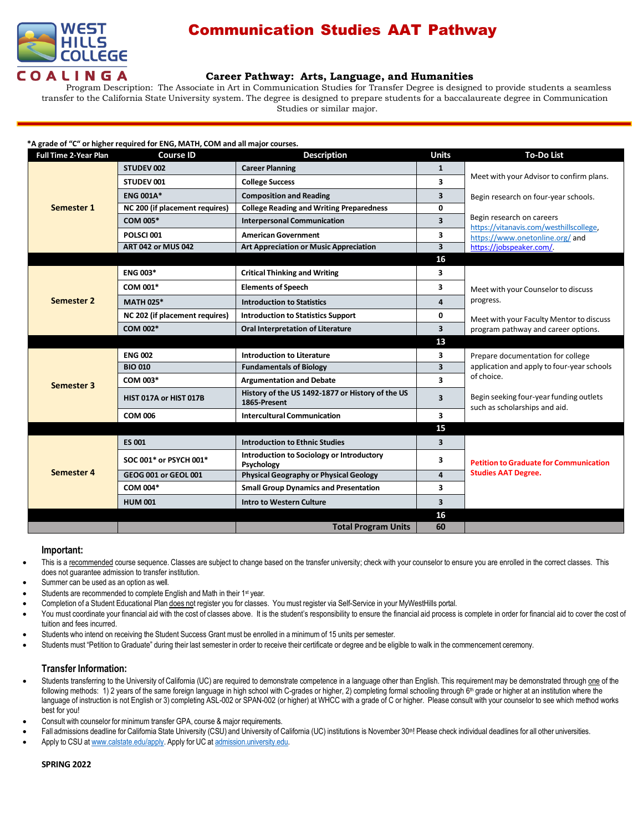

# Communication Studies AAT Pathway

## **Career Pathway: Arts, Language, and Humanities**

Program Description: The Associate in Art in Communication Studies for Transfer Degree is designed to provide students a seamless transfer to the California State University system. The degree is designed to prepare students for a baccalaureate degree in Communication Studies or similar major.

#### **\*A grade of "C" or higher required for ENG, MATH, COM and all major courses.**

| <b>Full Time 2-Year Plan</b> | <b>Course ID</b>               | <b>Description</b>                                               | <b>Units</b>            | <b>To-Do List</b>                                                               |
|------------------------------|--------------------------------|------------------------------------------------------------------|-------------------------|---------------------------------------------------------------------------------|
| Semester 1                   | STUDEV 002                     | <b>Career Planning</b>                                           | $\mathbf{1}$            | Meet with your Advisor to confirm plans.                                        |
|                              | STUDEV 001                     | <b>College Success</b>                                           | $\overline{\mathbf{3}}$ |                                                                                 |
|                              | <b>ENG 001A*</b>               | <b>Composition and Reading</b>                                   | 3                       | Begin research on four-year schools.                                            |
|                              | NC 200 (if placement requires) | <b>College Reading and Writing Preparedness</b>                  | 0                       |                                                                                 |
|                              | <b>COM 005*</b>                | <b>Interpersonal Communication</b>                               | 3                       | Begin research on careers<br>https://vitanavis.com/westhillscollege,            |
|                              | POLSCI001                      | <b>American Government</b>                                       | 3                       | https://www.onetonline.org/and                                                  |
|                              | <b>ART 042 or MUS 042</b>      | <b>Art Appreciation or Music Appreciation</b>                    | $\overline{\mathbf{3}}$ | https://jobspeaker.com/                                                         |
|                              |                                |                                                                  | 16                      |                                                                                 |
| Semester 2                   | <b>ENG 003*</b>                | <b>Critical Thinking and Writing</b>                             | 3                       |                                                                                 |
|                              | COM 001*                       | <b>Elements of Speech</b>                                        | 3                       | Meet with your Counselor to discuss<br>progress.                                |
|                              | <b>MATH 025*</b>               | <b>Introduction to Statistics</b>                                | $\overline{a}$          |                                                                                 |
|                              | NC 202 (if placement requires) | <b>Introduction to Statistics Support</b>                        | 0                       | Meet with your Faculty Mentor to discuss<br>program pathway and career options. |
|                              | COM 002*                       | <b>Oral Interpretation of Literature</b>                         | 3                       |                                                                                 |
|                              |                                |                                                                  | 13                      |                                                                                 |
| Semester 3                   | <b>ENG 002</b>                 | <b>Introduction to Literature</b>                                | 3                       | Prepare documentation for college<br>application and apply to four-year schools |
|                              | <b>BIO 010</b>                 | <b>Fundamentals of Biology</b>                                   | 3                       |                                                                                 |
|                              | COM 003*                       | <b>Argumentation and Debate</b>                                  | $\overline{\mathbf{3}}$ | of choice.                                                                      |
|                              | HIST 017A or HIST 017B         | History of the US 1492-1877 or History of the US<br>1865-Present | $\overline{\mathbf{3}}$ | Begin seeking four-year funding outlets<br>such as scholarships and aid.        |
|                              | <b>COM 006</b>                 | <b>Intercultural Communication</b>                               | 3                       |                                                                                 |
|                              |                                |                                                                  | 15                      |                                                                                 |
| Semester 4                   | <b>ES 001</b>                  | <b>Introduction to Ethnic Studies</b>                            | $\overline{\mathbf{3}}$ | <b>Petition to Graduate for Communication</b><br><b>Studies AAT Degree.</b>     |
|                              | SOC 001* or PSYCH 001*         | Introduction to Sociology or Introductory<br>Psychology          | 3                       |                                                                                 |
|                              | GEOG 001 or GEOL 001           | <b>Physical Geography or Physical Geology</b>                    | $\overline{\mathbf{4}}$ |                                                                                 |
|                              | COM 004*                       | <b>Small Group Dynamics and Presentation</b>                     | 3                       |                                                                                 |
|                              | <b>HUM 001</b>                 | <b>Intro to Western Culture</b>                                  | $\overline{\mathbf{3}}$ |                                                                                 |
|                              |                                |                                                                  | 16                      |                                                                                 |
|                              |                                | <b>Total Program Units</b>                                       | 60                      |                                                                                 |

### **Important:**

This is a recommended course sequence. Classes are subject to change based on the transfer university; check with your counselor to ensure you are enrolled in the correct classes. This does not guarantee admission to transfer institution.

- Summer can be used as an option as well.
- Students are recommended to complete English and Math in their 1<sup>st</sup> year.
- Completion of a Student Educational Plan does not register you for classes. You must register via Self-Service in your MyWestHills portal.
- You must coordinate your financial aid with the cost of classes above. It is the student's responsibility to ensure the financial aid process is complete in order for financial aid to cover the cost of tuition and fees incurred.
- Students who intend on receiving the Student Success Grant must be enrolled in a minimum of 15 units per semester.
- Students must "Petition to Graduate" during their last semester in order to receive their certificate or degree and be eligible to walk in the commencement ceremony.

## **Transfer Information:**

- Students transferring to the University of California (UC) are required to demonstrate competence in a language other than English. This requirement may be demonstrated through one of the following methods: 1) 2 years of the same foreign language in high school with C-grades or higher, 2) completing formal schooling through 6<sup>th</sup> grade or higher at an institution where the language of instruction is not English or 3) completing ASL-002 or SPAN-002 (or higher) at WHCC with a grade of C or higher. Please consult with your counselor to see which method works best for you!
- Consult with counselor for minimum transfer GPA, course & major requirements.
- Fall admissions deadline for California State University (CSU) and University of California (UC) institutions is November 30<sup>th</sup>! Please check individual deadlines for all other universities.
- Apply to CSU at [www.calstate.edu/apply.](http://www.calstate.edu/apply) Apply for UC at [admission.university.edu.](http://www.apply.universityofcalifornia.edu/)

#### **SPRING 2022**